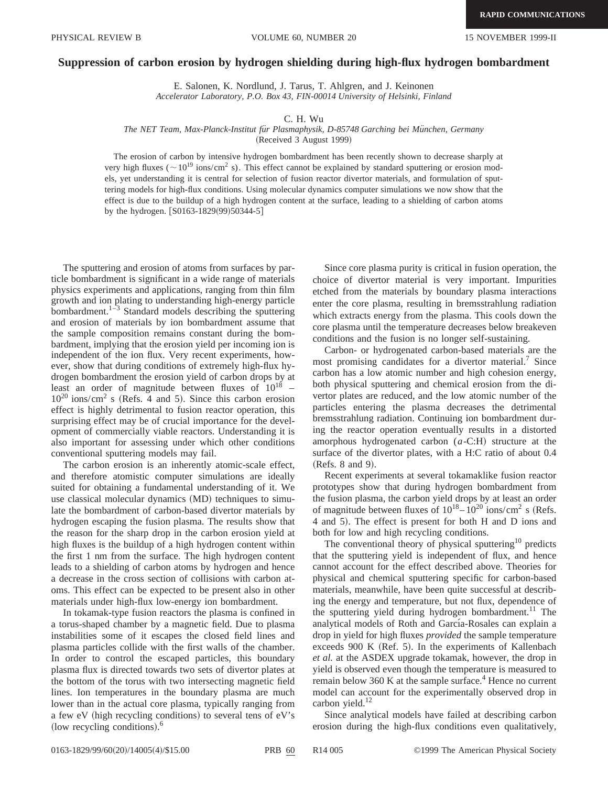PHYSICAL REVIEW B VOLUME 60, NUMBER 20 15 NOVEMBER 1999-II

# **Suppression of carbon erosion by hydrogen shielding during high-flux hydrogen bombardment**

E. Salonen, K. Nordlund, J. Tarus, T. Ahlgren, and J. Keinonen *Accelerator Laboratory, P.O. Box 43, FIN-00014 University of Helsinki, Finland*

### C. H. Wu

## *The NET Team, Max-Planck-Institut fu¨r Plasmaphysik, D-85748 Garching bei Mu¨nchen, Germany*

(Received 3 August 1999)

The erosion of carbon by intensive hydrogen bombardment has been recently shown to decrease sharply at very high fluxes ( $\sim 10^{19}$  ions/cm<sup>2</sup> s). This effect cannot be explained by standard sputtering or erosion models, yet understanding it is central for selection of fusion reactor divertor materials, and formulation of sputtering models for high-flux conditions. Using molecular dynamics computer simulations we now show that the effect is due to the buildup of a high hydrogen content at the surface, leading to a shielding of carbon atoms by the hydrogen.  $[$0163-1829(99)50344-5]$ 

The sputtering and erosion of atoms from surfaces by particle bombardment is significant in a wide range of materials physics experiments and applications, ranging from thin film growth and ion plating to understanding high-energy particle bombardment. $1-3$  Standard models describing the sputtering and erosion of materials by ion bombardment assume that the sample composition remains constant during the bombardment, implying that the erosion yield per incoming ion is independent of the ion flux. Very recent experiments, however, show that during conditions of extremely high-flux hydrogen bombardment the erosion yield of carbon drops by at least an order of magnitude between fluxes of  $10^{18}$  $10^{20}$  ions/cm<sup>2</sup> s (Refs. 4 and 5). Since this carbon erosion effect is highly detrimental to fusion reactor operation, this surprising effect may be of crucial importance for the development of commercially viable reactors. Understanding it is also important for assessing under which other conditions conventional sputtering models may fail.

The carbon erosion is an inherently atomic-scale effect, and therefore atomistic computer simulations are ideally suited for obtaining a fundamental understanding of it. We use classical molecular dynamics (MD) techniques to simulate the bombardment of carbon-based divertor materials by hydrogen escaping the fusion plasma. The results show that the reason for the sharp drop in the carbon erosion yield at high fluxes is the buildup of a high hydrogen content within the first 1 nm from the surface. The high hydrogen content leads to a shielding of carbon atoms by hydrogen and hence a decrease in the cross section of collisions with carbon atoms. This effect can be expected to be present also in other materials under high-flux low-energy ion bombardment.

In tokamak-type fusion reactors the plasma is confined in a torus-shaped chamber by a magnetic field. Due to plasma instabilities some of it escapes the closed field lines and plasma particles collide with the first walls of the chamber. In order to control the escaped particles, this boundary plasma flux is directed towards two sets of divertor plates at the bottom of the torus with two intersecting magnetic field lines. Ion temperatures in the boundary plasma are much lower than in the actual core plasma, typically ranging from a few eV (high recycling conditions) to several tens of  $eV$ 's (low recycling conditions). $<sup>6</sup>$ </sup>

Since core plasma purity is critical in fusion operation, the choice of divertor material is very important. Impurities etched from the materials by boundary plasma interactions enter the core plasma, resulting in bremsstrahlung radiation which extracts energy from the plasma. This cools down the core plasma until the temperature decreases below breakeven conditions and the fusion is no longer self-sustaining.

Carbon- or hydrogenated carbon-based materials are the most promising candidates for a divertor material.<sup>7</sup> Since carbon has a low atomic number and high cohesion energy, both physical sputtering and chemical erosion from the divertor plates are reduced, and the low atomic number of the particles entering the plasma decreases the detrimental bremsstrahlung radiation. Continuing ion bombardment during the reactor operation eventually results in a distorted amorphous hydrogenated carbon  $(a-C:H)$  structure at the surface of the divertor plates, with a H:C ratio of about 0.4 (Refs. 8 and 9).

Recent experiments at several tokamaklike fusion reactor prototypes show that during hydrogen bombardment from the fusion plasma, the carbon yield drops by at least an order of magnitude between fluxes of  $10^{18} - 10^{20}$  ions/cm<sup>2</sup> s (Refs. 4 and 5). The effect is present for both H and D ions and both for low and high recycling conditions.

The conventional theory of physical sputtering<sup>10</sup> predicts that the sputtering yield is independent of flux, and hence cannot account for the effect described above. Theories for physical and chemical sputtering specific for carbon-based materials, meanwhile, have been quite successful at describing the energy and temperature, but not flux, dependence of the sputtering yield during hydrogen bombardment.<sup>11</sup> The analytical models of Roth and García-Rosales can explain a drop in yield for high fluxes *provided* the sample temperature exceeds  $900 \text{ K}$  (Ref. 5). In the experiments of Kallenbach *et al.* at the ASDEX upgrade tokamak, however, the drop in yield is observed even though the temperature is measured to remain below 360 K at the sample surface.<sup>4</sup> Hence no current model can account for the experimentally observed drop in carbon yield.<sup>12</sup>

Since analytical models have failed at describing carbon erosion during the high-flux conditions even qualitatively,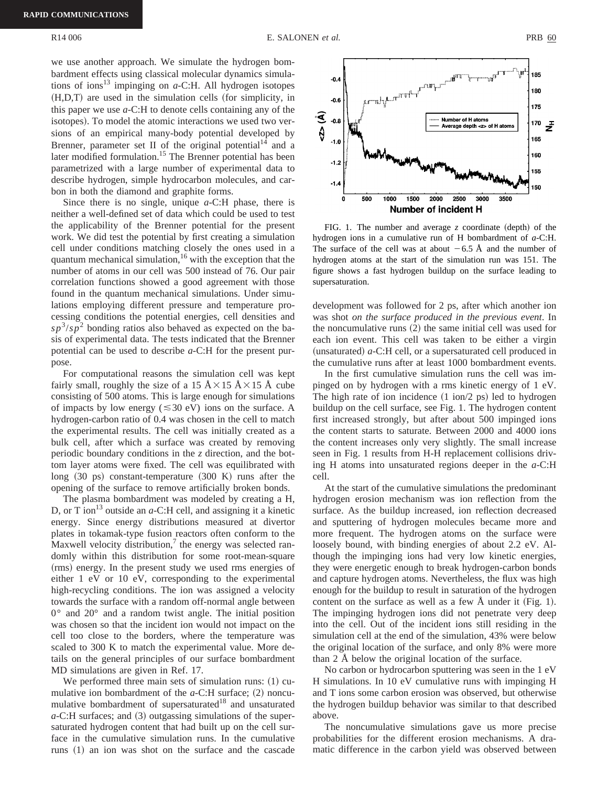we use another approach. We simulate the hydrogen bombardment effects using classical molecular dynamics simulations of ions<sup>13</sup> impinging on  $a$ -C:H. All hydrogen isotopes  $(H,D,T)$  are used in the simulation cells (for simplicity, in this paper we use *a*-C:H to denote cells containing any of the isotopes). To model the atomic interactions we used two versions of an empirical many-body potential developed by Brenner, parameter set II of the original potential<sup>14</sup> and a later modified formulation.<sup>15</sup> The Brenner potential has been parametrized with a large number of experimental data to describe hydrogen, simple hydrocarbon molecules, and carbon in both the diamond and graphite forms.

Since there is no single, unique *a*-C:H phase, there is neither a well-defined set of data which could be used to test the applicability of the Brenner potential for the present work. We did test the potential by first creating a simulation cell under conditions matching closely the ones used in a quantum mechanical simulation,<sup>16</sup> with the exception that the number of atoms in our cell was 500 instead of 76. Our pair correlation functions showed a good agreement with those found in the quantum mechanical simulations. Under simulations employing different pressure and temperature processing conditions the potential energies, cell densities and  $s p^3/s p^2$  bonding ratios also behaved as expected on the basis of experimental data. The tests indicated that the Brenner potential can be used to describe *a*-C:H for the present purpose.

For computational reasons the simulation cell was kept fairly small, roughly the size of a 15  $A \times 15$  Å $\times 15$  Å cube consisting of 500 atoms. This is large enough for simulations of impacts by low energy ( $\leq 30$  eV) ions on the surface. A hydrogen-carbon ratio of 0.4 was chosen in the cell to match the experimental results. The cell was initially created as a bulk cell, after which a surface was created by removing periodic boundary conditions in the *z* direction, and the bottom layer atoms were fixed. The cell was equilibrated with long  $(30 \text{ ps})$  constant-temperature  $(300 \text{ K})$  runs after the opening of the surface to remove artificially broken bonds.

The plasma bombardment was modeled by creating a H, D, or T ion<sup>13</sup> outside an  $a$ -C:H cell, and assigning it a kinetic energy. Since energy distributions measured at divertor plates in tokamak-type fusion reactors often conform to the Maxwell velocity distribution, $\delta$  the energy was selected randomly within this distribution for some root-mean-square (rms) energy. In the present study we used rms energies of either 1 eV or 10 eV, corresponding to the experimental high-recycling conditions. The ion was assigned a velocity towards the surface with a random off-normal angle between 0° and 20° and a random twist angle. The initial position was chosen so that the incident ion would not impact on the cell too close to the borders, where the temperature was scaled to 300 K to match the experimental value. More details on the general principles of our surface bombardment MD simulations are given in Ref. 17.

We performed three main sets of simulation runs:  $(1)$  cumulative ion bombardment of the  $a$ -C:H surface;  $(2)$  noncumulative bombardment of supersaturated<sup>18</sup> and unsaturated  $a$ -C:H surfaces; and  $(3)$  outgassing simulations of the supersaturated hydrogen content that had built up on the cell surface in the cumulative simulation runs. In the cumulative runs  $(1)$  an ion was shot on the surface and the cascade



FIG. 1. The number and average  $z$  coordinate (depth) of the hydrogen ions in a cumulative run of H bombardment of *a*-C:H. The surface of the cell was at about  $-6.5 \text{ Å}$  and the number of hydrogen atoms at the start of the simulation run was 151. The figure shows a fast hydrogen buildup on the surface leading to supersaturation.

development was followed for 2 ps, after which another ion was shot *on the surface produced in the previous event*. In the noncumulative runs  $(2)$  the same initial cell was used for each ion event. This cell was taken to be either a virgin (unsaturated) *a*-C:H cell, or a supersaturated cell produced in the cumulative runs after at least 1000 bombardment events.

In the first cumulative simulation runs the cell was impinged on by hydrogen with a rms kinetic energy of 1 eV. The high rate of ion incidence  $(1 \text{ ion}/2 \text{ ps})$  led to hydrogen buildup on the cell surface, see Fig. 1. The hydrogen content first increased strongly, but after about 500 impinged ions the content starts to saturate. Between 2000 and 4000 ions the content increases only very slightly. The small increase seen in Fig. 1 results from H-H replacement collisions driving H atoms into unsaturated regions deeper in the *a*-C:H cell.

At the start of the cumulative simulations the predominant hydrogen erosion mechanism was ion reflection from the surface. As the buildup increased, ion reflection decreased and sputtering of hydrogen molecules became more and more frequent. The hydrogen atoms on the surface were loosely bound, with binding energies of about 2.2 eV. Although the impinging ions had very low kinetic energies, they were energetic enough to break hydrogen-carbon bonds and capture hydrogen atoms. Nevertheless, the flux was high enough for the buildup to result in saturation of the hydrogen content on the surface as well as a few  $\overline{A}$  under it (Fig. 1). The impinging hydrogen ions did not penetrate very deep into the cell. Out of the incident ions still residing in the simulation cell at the end of the simulation, 43% were below the original location of the surface, and only 8% were more than 2 Å below the original location of the surface.

No carbon or hydrocarbon sputtering was seen in the 1 eV H simulations. In 10 eV cumulative runs with impinging H and T ions some carbon erosion was observed, but otherwise the hydrogen buildup behavior was similar to that described above.

The noncumulative simulations gave us more precise probabilities for the different erosion mechanisms. A dramatic difference in the carbon yield was observed between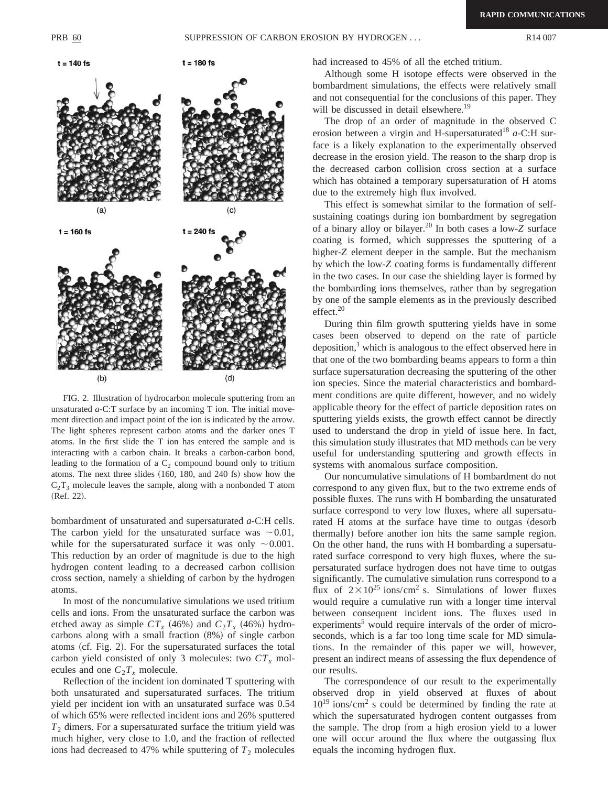

FIG. 2. Illustration of hydrocarbon molecule sputtering from an unsaturated *a*-C:T surface by an incoming T ion. The initial movement direction and impact point of the ion is indicated by the arrow. The light spheres represent carbon atoms and the darker ones T atoms. In the first slide the T ion has entered the sample and is interacting with a carbon chain. It breaks a carbon-carbon bond, leading to the formation of a  $C_2$  compound bound only to tritium atoms. The next three slides  $(160, 180,$  and  $240$  fs) show how the  $C_2T_3$  molecule leaves the sample, along with a nonbonded T atom (Ref. 22).

bombardment of unsaturated and supersaturated *a*-C:H cells. The carbon yield for the unsaturated surface was  $\sim 0.01$ , while for the supersaturated surface it was only  $\sim 0.001$ . This reduction by an order of magnitude is due to the high hydrogen content leading to a decreased carbon collision cross section, namely a shielding of carbon by the hydrogen atoms.

In most of the noncumulative simulations we used tritium cells and ions. From the unsaturated surface the carbon was etched away as simple  $CT_x$  (46%) and  $C_2T_x$  (46%) hydrocarbons along with a small fraction  $(8%)$  of single carbon atoms (cf. Fig. 2). For the supersaturated surfaces the total carbon yield consisted of only 3 molecules: two  $CT_x$  molecules and one  $C_2T_x$  molecule.

Reflection of the incident ion dominated T sputtering with both unsaturated and supersaturated surfaces. The tritium yield per incident ion with an unsaturated surface was 0.54 of which 65% were reflected incident ions and 26% sputtered  $T<sub>2</sub>$  dimers. For a supersaturated surface the tritium yield was much higher, very close to 1.0, and the fraction of reflected ions had decreased to 47% while sputtering of  $T_2$  molecules had increased to 45% of all the etched tritium.

Although some H isotope effects were observed in the bombardment simulations, the effects were relatively small and not consequential for the conclusions of this paper. They will be discussed in detail elsewhere.<sup>19</sup>

The drop of an order of magnitude in the observed C erosion between a virgin and H-supersaturated<sup>18</sup> a-C:H surface is a likely explanation to the experimentally observed decrease in the erosion yield. The reason to the sharp drop is the decreased carbon collision cross section at a surface which has obtained a temporary supersaturation of H atoms due to the extremely high flux involved.

This effect is somewhat similar to the formation of selfsustaining coatings during ion bombardment by segregation of a binary alloy or bilayer.20 In both cases a low-*Z* surface coating is formed, which suppresses the sputtering of a higher-*Z* element deeper in the sample. But the mechanism by which the low-*Z* coating forms is fundamentally different in the two cases. In our case the shielding layer is formed by the bombarding ions themselves, rather than by segregation by one of the sample elements as in the previously described effect.<sup>20</sup>

During thin film growth sputtering yields have in some cases been observed to depend on the rate of particle deposition, $\frac{1}{1}$  which is analogous to the effect observed here in that one of the two bombarding beams appears to form a thin surface supersaturation decreasing the sputtering of the other ion species. Since the material characteristics and bombardment conditions are quite different, however, and no widely applicable theory for the effect of particle deposition rates on sputtering yields exists, the growth effect cannot be directly used to understand the drop in yield of issue here. In fact, this simulation study illustrates that MD methods can be very useful for understanding sputtering and growth effects in systems with anomalous surface composition.

Our noncumulative simulations of H bombardment do not correspond to any given flux, but to the two extreme ends of possible fluxes. The runs with H bombarding the unsaturated surface correspond to very low fluxes, where all supersaturated H atoms at the surface have time to outgas (desorb thermally) before another ion hits the same sample region. On the other hand, the runs with H bombarding a supersaturated surface correspond to very high fluxes, where the supersaturated surface hydrogen does not have time to outgas significantly. The cumulative simulation runs correspond to a flux of  $2 \times 10^{25}$  ions/cm<sup>2</sup> s. Simulations of lower fluxes would require a cumulative run with a longer time interval between consequent incident ions. The fluxes used in experiments<sup>5</sup> would require intervals of the order of microseconds, which is a far too long time scale for MD simulations. In the remainder of this paper we will, however, present an indirect means of assessing the flux dependence of our results.

The correspondence of our result to the experimentally observed drop in yield observed at fluxes of about  $10^{19}$  ions/cm<sup>2</sup> s could be determined by finding the rate at which the supersaturated hydrogen content outgasses from the sample. The drop from a high erosion yield to a lower one will occur around the flux where the outgassing flux equals the incoming hydrogen flux.